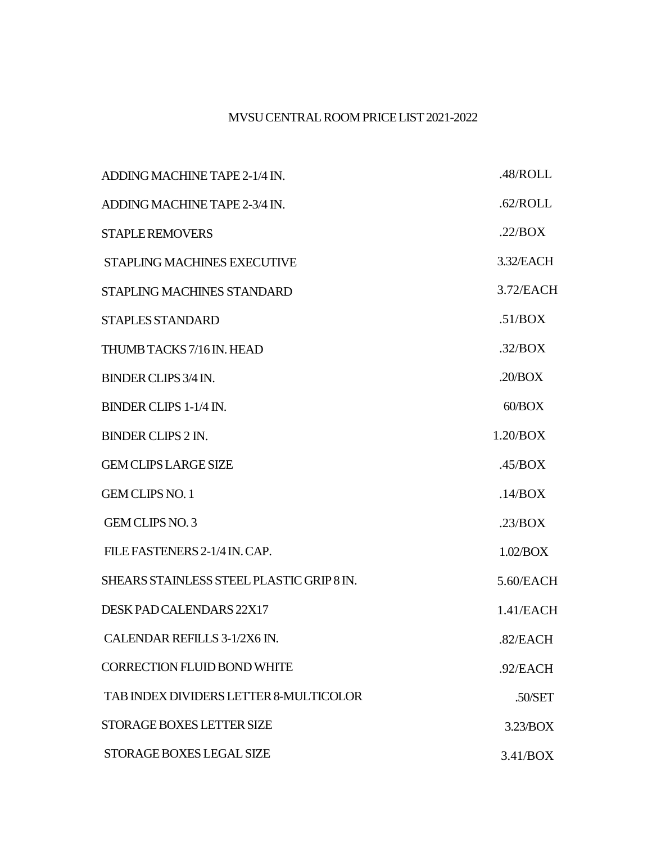## MVSUCENTRALROOMPRICELIST2021-2022

| ADDING MACHINE TAPE 2-1/4 IN.             | .48/ROLL  |
|-------------------------------------------|-----------|
| ADDING MACHINE TAPE 2-3/4 IN.             | .62/ROLL  |
| <b>STAPLE REMOVERS</b>                    | .22/BOX   |
| STAPLING MACHINES EXECUTIVE               | 3.32/EACH |
| <b>STAPLING MACHINES STANDARD</b>         | 3.72/EACH |
| <b>STAPLES STANDARD</b>                   | .51/BOX   |
| THUMB TACKS 7/16 IN. HEAD                 | .32/BOX   |
| <b>BINDER CLIPS 3/4 IN.</b>               | .20/BOX   |
| BINDER CLIPS 1-1/4 IN.                    | 60/BOX    |
| <b>BINDER CLIPS 2 IN.</b>                 | 1.20/BOX  |
| <b>GEM CLIPS LARGE SIZE</b>               | .45/BOX   |
| <b>GEM CLIPS NO. 1</b>                    | .14/BOX   |
| GEM CLIPS NO. 3                           | .23/BOX   |
| FILE FASTENERS 2-1/4 IN. CAP.             | 1.02/BOX  |
| SHEARS STAINLESS STEEL PLASTIC GRIP 8 IN. | 5.60/EACH |
| DESK PAD CALENDARS 22X17                  | 1.41/EACH |
| CALENDAR REFILLS 3-1/2X6 IN.              | .82/EACH  |
| <b>CORRECTION FLUID BOND WHITE</b>        | .92/EACH  |
| TAB INDEX DIVIDERS LETTER 8-MULTICOLOR    | .50/SET   |
| STORAGE BOXES LETTER SIZE                 | 3.23/BOX  |
| STORAGE BOXES LEGAL SIZE                  | 3.41/BOX  |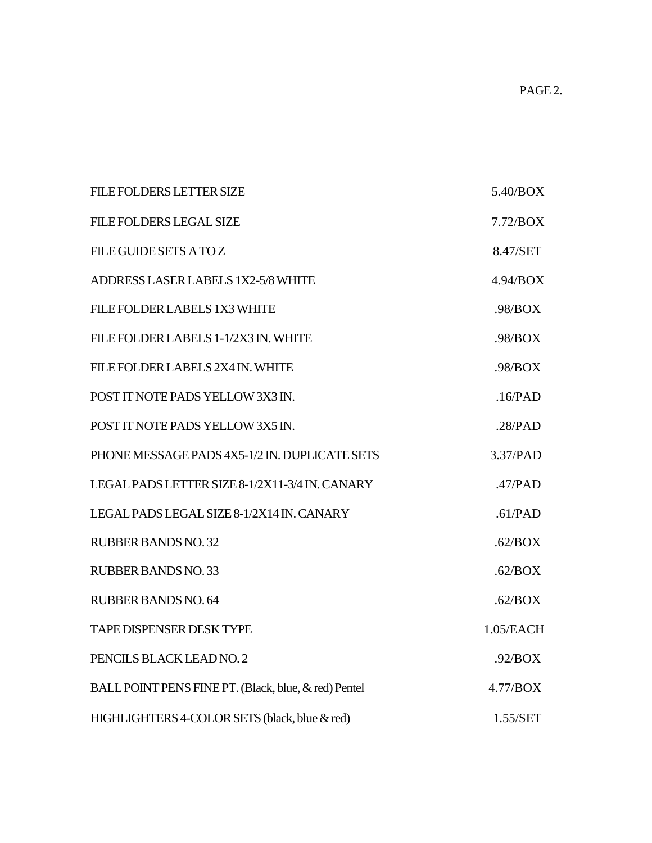| <b>FILE FOLDERS LETTER SIZE</b>                      | 5.40/BOX  |
|------------------------------------------------------|-----------|
| <b>FILE FOLDERS LEGAL SIZE</b>                       | 7.72/BOX  |
| <b>FILE GUIDE SETS A TOZ</b>                         | 8.47/SET  |
| ADDRESS LASER LABELS 1X2-5/8 WHITE                   | 4.94/BOX  |
| FILE FOLDER LABELS 1X3 WHITE                         | .98/BOX   |
| FILE FOLDER LABELS 1-1/2X3 IN. WHITE                 | .98/BOX   |
| FILE FOLDER LABELS 2X4 IN. WHITE                     | .98/BOX   |
| POST IT NOTE PADS YELLOW 3X3 IN.                     | .16/PAD   |
| POST IT NOTE PADS YELLOW 3X5 IN.                     | .28/PAD   |
| PHONE MESSAGE PADS 4X5-1/2 IN. DUPLICATE SETS        | 3.37/PAD  |
| LEGAL PADS LETTER SIZE 8-1/2X11-3/4 IN. CANARY       | .47/PAD   |
| LEGAL PADS LEGAL SIZE 8-1/2X14 IN. CANARY            | .61/PAD   |
| <b>RUBBER BANDS NO. 32</b>                           | .62/BOX   |
| <b>RUBBER BANDS NO. 33</b>                           | .62/BOX   |
| RUBBER BANDS NO. 64                                  | .62/BOX   |
| <b>TAPE DISPENSER DESK TYPE</b>                      | 1.05/EACH |
| PENCILS BLACK LEAD NO. 2                             | .92/BOX   |
| BALL POINT PENS FINE PT. (Black, blue, & red) Pentel | 4.77/BOX  |
| HIGHLIGHTERS 4-COLOR SETS (black, blue & red)        | 1.55/SET  |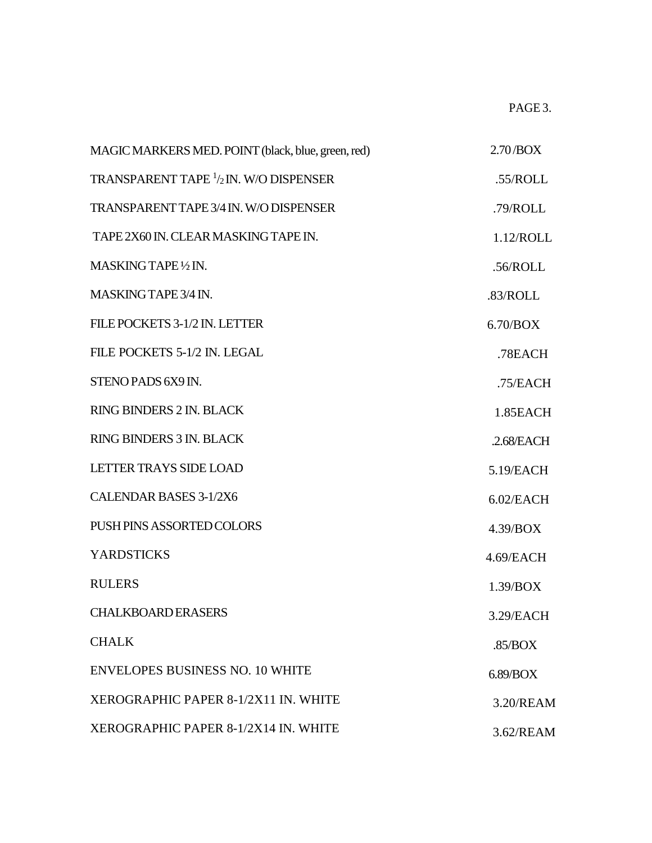PAGE 3.

| MAGIC MARKERS MED. POINT (black, blue, green, red)                 | $2.70$ /BOX   |
|--------------------------------------------------------------------|---------------|
| <b>TRANSPARENT TAPE <math>\frac{1}{2}</math> IN. W/O DISPENSER</b> | .55/ROLL      |
| <b>TRANSPARENT TAPE 3/4 IN. W/O DISPENSER</b>                      | .79/ROLL      |
| TAPE 2X60 IN. CLEAR MASKING TAPE IN.                               | 1.12/ROLL     |
| MASKING TAPE 1/2 IN.                                               | .56/ROLL      |
| MASKING TAPE 3/4 IN.                                               | .83/ROLL      |
| FILE POCKETS 3-1/2 IN. LETTER                                      | 6.70/BOX      |
| FILE POCKETS 5-1/2 IN. LEGAL                                       | .78EACH       |
| STENO PADS 6X9 IN.                                                 | .75/EACH      |
| RING BINDERS 2 IN. BLACK                                           | 1.85EACH      |
| <b>RING BINDERS 3 IN. BLACK</b>                                    | $.2.68$ /EACH |
| <b>LETTER TRAYS SIDE LOAD</b>                                      | 5.19/EACH     |
| <b>CALENDAR BASES 3-1/2X6</b>                                      | $6.02$ /EACH  |
| PUSH PINS ASSORTED COLORS                                          | 4.39/BOX      |
| <b>YARDSTICKS</b>                                                  | 4.69/EACH     |
| <b>RULERS</b>                                                      | 1.39/BOX      |
| <b>CHALKBOARD ERASERS</b>                                          | 3.29/EACH     |
| <b>CHALK</b>                                                       | .85/BOX       |
| <b>ENVELOPES BUSINESS NO. 10 WHITE</b>                             | 6.89/BOX      |
| XEROGRAPHIC PAPER 8-1/2X11 IN. WHITE                               | 3.20/REAM     |
| XEROGRAPHIC PAPER 8-1/2X14 IN. WHITE                               | 3.62/REAM     |